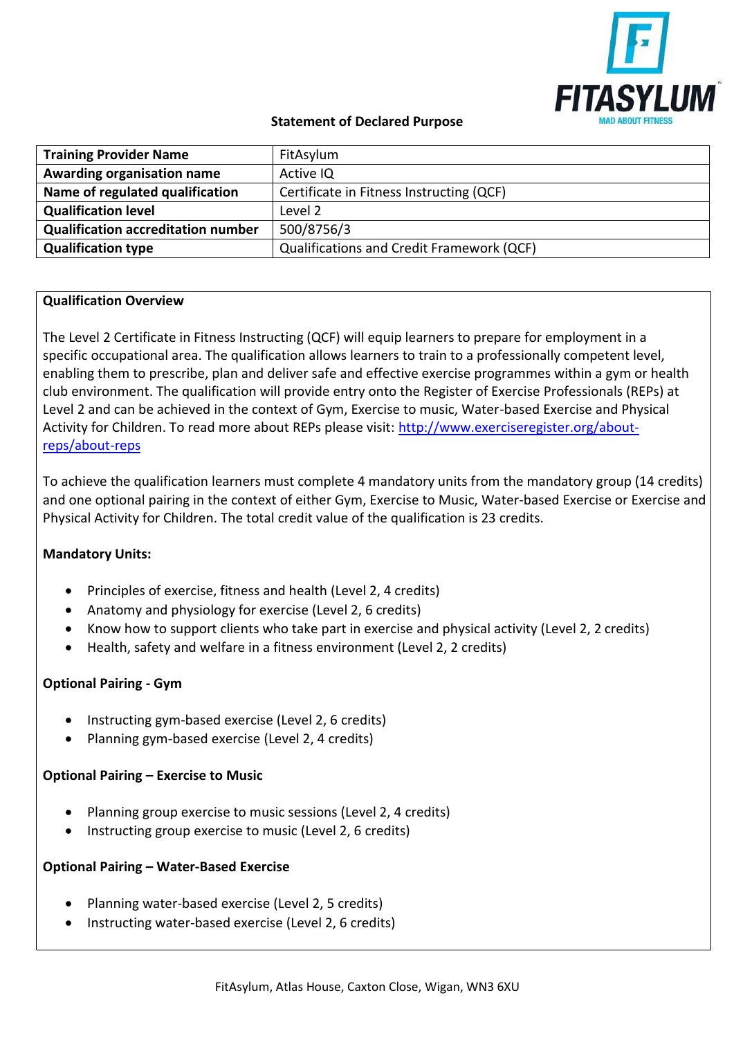

# **Statement of Declared Purpose**

| <b>Training Provider Name</b>             | FitAsylum                                        |
|-------------------------------------------|--------------------------------------------------|
| Awarding organisation name                | Active IQ                                        |
| Name of regulated qualification           | Certificate in Fitness Instructing (QCF)         |
| <b>Qualification level</b>                | Level 2                                          |
| <b>Qualification accreditation number</b> | 500/8756/3                                       |
| <b>Qualification type</b>                 | <b>Qualifications and Credit Framework (QCF)</b> |

# **Qualification Overview**

The Level 2 Certificate in Fitness Instructing (QCF) will equip learners to prepare for employment in a specific occupational area. The qualification allows learners to train to a professionally competent level, enabling them to prescribe, plan and deliver safe and effective exercise programmes within a gym or health club environment. The qualification will provide entry onto the Register of Exercise Professionals (REPs) at Level 2 and can be achieved in the context of Gym, Exercise to music, Water-based Exercise and Physical Activity for Children. To read more about REPs please visit: [http://www.exerciseregister.org/about](http://www.exerciseregister.org/about-reps/about-reps)[reps/about-reps](http://www.exerciseregister.org/about-reps/about-reps)

To achieve the qualification learners must complete 4 mandatory units from the mandatory group (14 credits) and one optional pairing in the context of either Gym, Exercise to Music, Water-based Exercise or Exercise and Physical Activity for Children. The total credit value of the qualification is 23 credits.

### **Mandatory Units:**

- Principles of exercise, fitness and health (Level 2, 4 credits)
- Anatomy and physiology for exercise (Level 2, 6 credits)
- Know how to support clients who take part in exercise and physical activity (Level 2, 2 credits)
- Health, safety and welfare in a fitness environment (Level 2, 2 credits)

### **Optional Pairing - Gym**

- Instructing gym-based exercise (Level 2, 6 credits)
- Planning gym-based exercise (Level 2, 4 credits)

### **Optional Pairing – Exercise to Music**

- Planning group exercise to music sessions (Level 2, 4 credits)
- Instructing group exercise to music (Level 2, 6 credits)

### **Optional Pairing – Water-Based Exercise**

- Planning water-based exercise (Level 2, 5 credits)
- Instructing water-based exercise (Level 2, 6 credits)